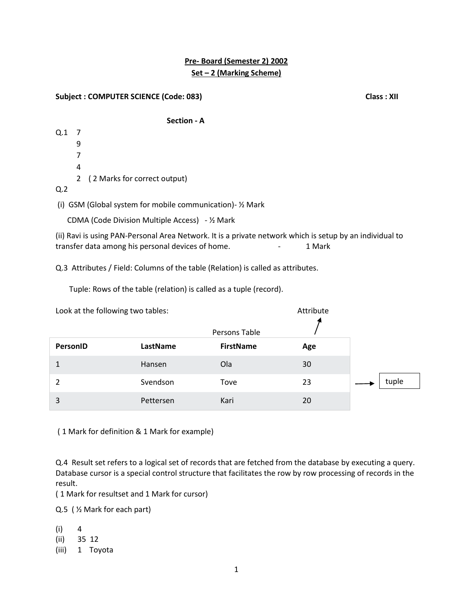# **Pre- Board (Semester 2) 2002 Set – 2 (Marking Scheme)**

### **Subject : COMPUTER SCIENCE (Code: 083)** Class : XII

### **Section - A**

Q.1 7 9 7 4 2 ( 2 Marks for correct output) Q.2

(i) GSM (Global system for mobile communication)- ½ Mark

CDMA (Code Division Multiple Access) - ½ Mark

(ii) Ravi is using PAN-Personal Area Network. It is a private network which is setup by an individual to transfer data among his personal devices of home. The same states are thank that the states of home.

Q.3 Attributes / Field: Columns of the table (Relation) is called as attributes.

Tuple: Rows of the table (relation) is called as a tuple (record).

| Look at the following two tables: |           | Attribute        |     |       |
|-----------------------------------|-----------|------------------|-----|-------|
|                                   |           | Persons Table    |     |       |
| PersonID                          | LastName  | <b>FirstName</b> | Age |       |
| $\mathbf{1}$                      | Hansen    | Ola              | 30  |       |
| 2                                 | Svendson  | Tove             | 23  | tuple |
| 3                                 | Pettersen | Kari             | 20  |       |

( 1 Mark for definition & 1 Mark for example)

Q.4 Result set refers to a logical set of records that are fetched from the database by executing a query. Database cursor is a special control structure that facilitates the row by row processing of records in the result.

( 1 Mark for resultset and 1 Mark for cursor)

Q.5 ( ½ Mark for each part)

- $(i) 4$
- (ii) 35 12
- (iii) 1 Toyota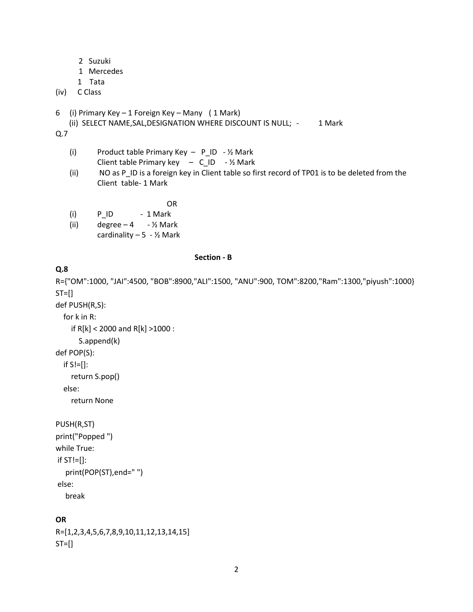- 2 Suzuki
- 1 Mercedes
- 1 Tata

### (iv) C Class

- 6 (i) Primary Key 1 Foreign Key Many ( 1 Mark)
	- (ii) SELECT NAME, SAL, DESIGNATION WHERE DISCOUNT IS NULL; 1 Mark

Q.7

(i) Product table Primary Key  $-$  P<sub>\_ID</sub>  $-$  1/2 Mark Client table Primary key  $-$  C\_ID  $-$  1/2 Mark

OR

(ii) NO as P\_ID is a foreign key in Client table so first record of TP01 is to be deleted from the Client table- 1 Mark

- $(i)$  P ID 1 Mark
- (ii) degree  $-4$   $\frac{1}{2}$  Mark cardinality  $-5 - \frac{1}{2}$  Mark
	-

### **Q.8**

R={"OM":1000, "JAI":4500, "BOB":8900,"ALI":1500, "ANU":900, TOM":8200,"Ram":1300,"piyush":1000}  $ST=[]$ 

**Section - B**

def PUSH(R,S):

```
 for k in R:
     if R[k] < 2000 and R[k] >1000 :
        S.append(k)
def POP(S):
  if S!=[]:
```
return S.pop()

else:

return None

```
PUSH(R,ST)
```

```
print("Popped ")
while True:
if ST!=[]:
   print(POP(ST),end=" ")
else:
```
break

### **OR**

```
R=[1,2,3,4,5,6,7,8,9,10,11,12,13,14,15]
ST=[]
```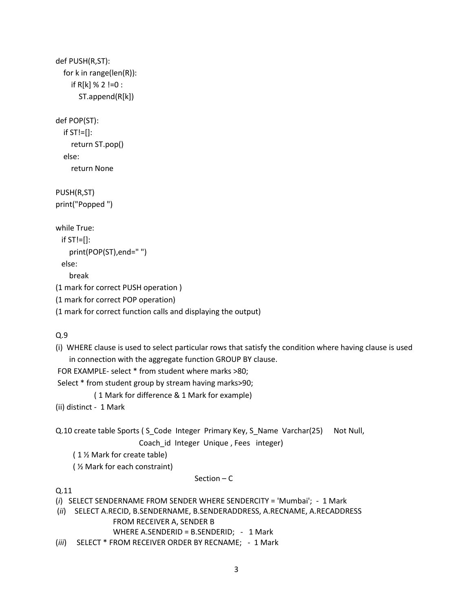```
def PUSH(R,ST):
   for k in range(len(R)):
    if R[k] % 2 !=0 :
        ST.append(R[k])
def POP(ST):
   if ST!=[]:
     return ST.pop()
   else:
     return None
PUSH(R,ST)
print("Popped ")
while True:
 if ST!=[]: print(POP(ST),end=" ")
  else:
     break
(1 mark for correct PUSH operation )
(1 mark for correct POP operation)
(1 mark for correct function calls and displaying the output)
```

```
Q.9
```
(i) WHERE clause is used to select particular rows that satisfy the condition where having clause is used in connection with the aggregate function GROUP BY clause.

FOR EXAMPLE- select \* from student where marks >80;

Select \* from student group by stream having marks>90;

( 1 Mark for difference & 1 Mark for example)

(ii) distinct - 1 Mark

Q.10 create table Sports (S Code Integer Primary Key, S Name Varchar(25) Not Null, Coach\_id Integer Unique , Fees integer)

( 1 ½ Mark for create table)

( ½ Mark for each constraint)

#### Section – C

Q.11

(*i*) SELECT SENDERNAME FROM SENDER WHERE SENDERCITY = 'Mumbai'; - 1 Mark

(*ii*) SELECT A.RECID, B.SENDERNAME, B.SENDERADDRESS, A.RECNAME, A.RECADDRESS

FROM RECEIVER A, SENDER B

WHERE A.SENDERID = B.SENDERID; - 1 Mark

(*iii*) SELECT \* FROM RECEIVER ORDER BY RECNAME; - 1 Mark